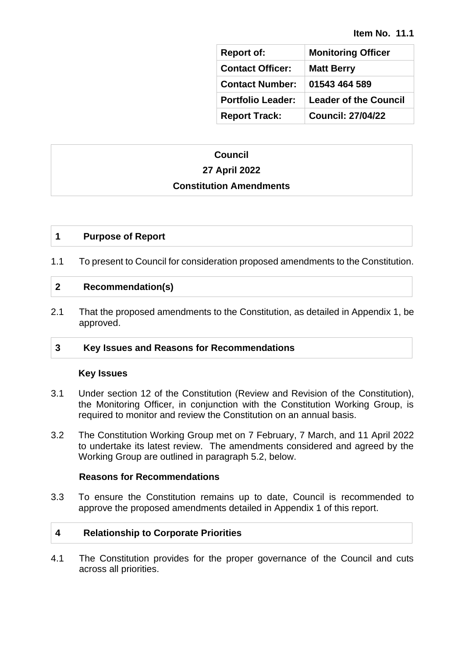| <b>Report of:</b>        | <b>Monitoring Officer</b>    |
|--------------------------|------------------------------|
| <b>Contact Officer:</b>  | <b>Matt Berry</b>            |
| <b>Contact Number:</b>   | 01543 464 589                |
| <b>Portfolio Leader:</b> | <b>Leader of the Council</b> |
| <b>Report Track:</b>     | <b>Council: 27/04/22</b>     |

# **Council 27 April 2022**

#### **Constitution Amendments**

## **1 Purpose of Report**

1.1 To present to Council for consideration proposed amendments to the Constitution.

## **2 Recommendation(s)**

2.1 That the proposed amendments to the Constitution, as detailed in Appendix 1, be approved.

## **3 Key Issues and Reasons for Recommendations**

#### **Key Issues**

- 3.1 Under section 12 of the Constitution (Review and Revision of the Constitution), the Monitoring Officer, in conjunction with the Constitution Working Group, is required to monitor and review the Constitution on an annual basis.
- 3.2 The Constitution Working Group met on 7 February, 7 March, and 11 April 2022 to undertake its latest review. The amendments considered and agreed by the Working Group are outlined in paragraph 5.2, below.

#### **Reasons for Recommendations**

3.3 To ensure the Constitution remains up to date, Council is recommended to approve the proposed amendments detailed in Appendix 1 of this report.

## **4 Relationship to Corporate Priorities**

4.1 The Constitution provides for the proper governance of the Council and cuts across all priorities.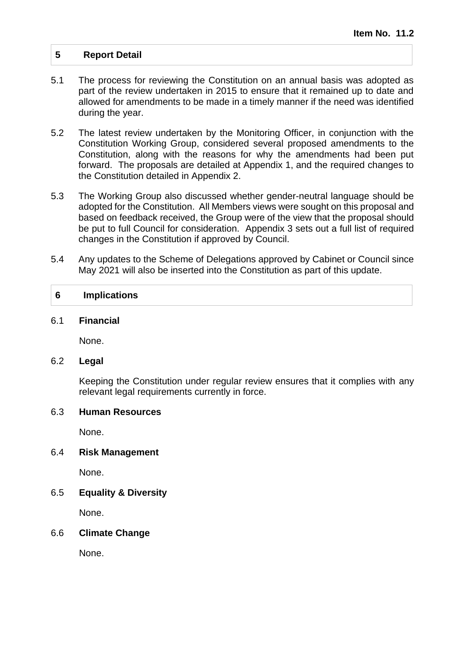## **5 Report Detail**

- 5.1 The process for reviewing the Constitution on an annual basis was adopted as part of the review undertaken in 2015 to ensure that it remained up to date and allowed for amendments to be made in a timely manner if the need was identified during the year.
- 5.2 The latest review undertaken by the Monitoring Officer, in conjunction with the Constitution Working Group, considered several proposed amendments to the Constitution, along with the reasons for why the amendments had been put forward. The proposals are detailed at Appendix 1, and the required changes to the Constitution detailed in Appendix 2.
- 5.3 The Working Group also discussed whether gender-neutral language should be adopted for the Constitution. All Members views were sought on this proposal and based on feedback received, the Group were of the view that the proposal should be put to full Council for consideration. Appendix 3 sets out a full list of required changes in the Constitution if approved by Council.
- 5.4 Any updates to the Scheme of Delegations approved by Cabinet or Council since May 2021 will also be inserted into the Constitution as part of this update.

#### **6 Implications**

#### 6.1 **Financial**

None.

#### 6.2 **Legal**

Keeping the Constitution under regular review ensures that it complies with any relevant legal requirements currently in force.

## 6.3 **Human Resources**

None.

## 6.4 **Risk Management**

None.

## 6.5 **Equality & Diversity**

None.

## 6.6 **Climate Change**

None.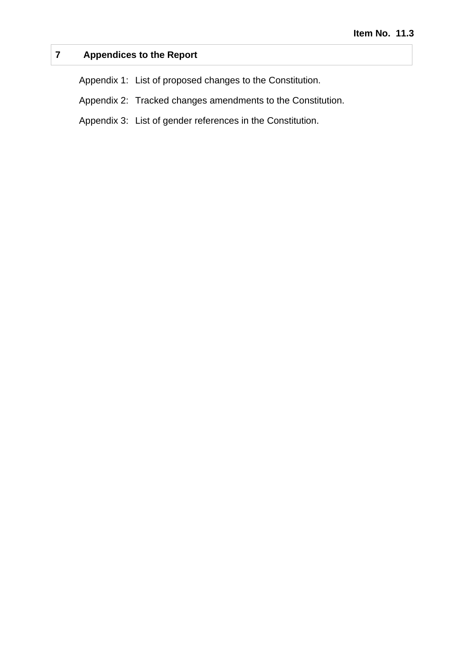# **7 Appendices to the Report**

Appendix 1: List of proposed changes to the Constitution.

Appendix 2: Tracked changes amendments to the Constitution.

Appendix 3: List of gender references in the Constitution.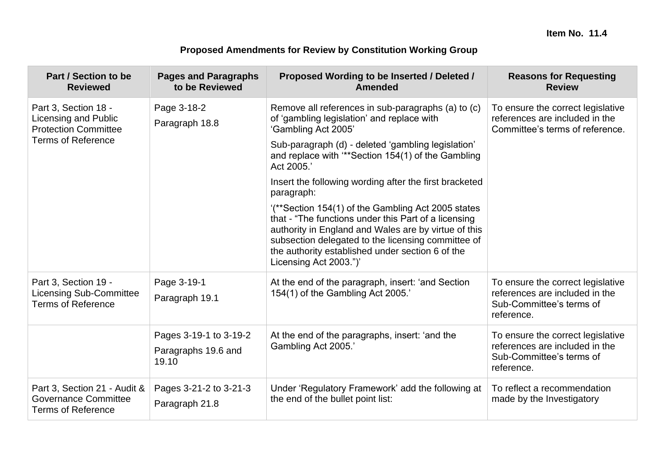# **Proposed Amendments for Review by Constitution Working Group**

| Part / Section to be<br><b>Reviewed</b>                                                  | <b>Pages and Paragraphs</b><br>to be Reviewed | Proposed Wording to be Inserted / Deleted /<br>Amended                                                                                                                                                                                                                                                 | <b>Reasons for Requesting</b><br><b>Review</b>                                                                |  |
|------------------------------------------------------------------------------------------|-----------------------------------------------|--------------------------------------------------------------------------------------------------------------------------------------------------------------------------------------------------------------------------------------------------------------------------------------------------------|---------------------------------------------------------------------------------------------------------------|--|
| Part 3, Section 18 -<br>Licensing and Public<br><b>Protection Committee</b>              | Page 3-18-2<br>Paragraph 18.8                 | Remove all references in sub-paragraphs (a) to (c)<br>of 'gambling legislation' and replace with<br>'Gambling Act 2005'                                                                                                                                                                                | To ensure the correct legislative<br>references are included in the<br>Committee's terms of reference.        |  |
| <b>Terms of Reference</b>                                                                |                                               | Sub-paragraph (d) - deleted 'gambling legislation'<br>and replace with "*Section 154(1) of the Gambling<br>Act 2005.'                                                                                                                                                                                  |                                                                                                               |  |
|                                                                                          |                                               | Insert the following wording after the first bracketed<br>paragraph:                                                                                                                                                                                                                                   |                                                                                                               |  |
|                                                                                          |                                               | "(**Section 154(1) of the Gambling Act 2005 states<br>that - "The functions under this Part of a licensing<br>authority in England and Wales are by virtue of this<br>subsection delegated to the licensing committee of<br>the authority established under section 6 of the<br>Licensing Act 2003.")' |                                                                                                               |  |
| Part 3, Section 19 -<br><b>Licensing Sub-Committee</b><br><b>Terms of Reference</b>      | Page 3-19-1<br>Paragraph 19.1                 | At the end of the paragraph, insert: 'and Section<br>154(1) of the Gambling Act 2005.'                                                                                                                                                                                                                 | To ensure the correct legislative<br>references are included in the<br>Sub-Committee's terms of<br>reference. |  |
|                                                                                          | Pages 3-19-1 to 3-19-2                        | At the end of the paragraphs, insert: 'and the<br>Gambling Act 2005.'                                                                                                                                                                                                                                  | To ensure the correct legislative<br>references are included in the                                           |  |
|                                                                                          | Paragraphs 19.6 and<br>19.10                  |                                                                                                                                                                                                                                                                                                        | Sub-Committee's terms of<br>reference.                                                                        |  |
| Part 3, Section 21 - Audit &<br><b>Governance Committee</b><br><b>Terms of Reference</b> | Pages 3-21-2 to 3-21-3<br>Paragraph 21.8      | Under 'Regulatory Framework' add the following at<br>the end of the bullet point list:                                                                                                                                                                                                                 | To reflect a recommendation<br>made by the Investigatory                                                      |  |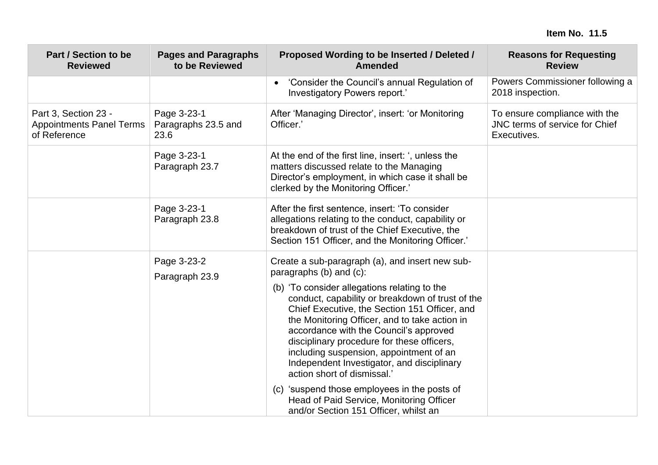| <b>Part / Section to be</b><br><b>Reviewed</b>                          | <b>Pages and Paragraphs</b><br>to be Reviewed | Proposed Wording to be Inserted / Deleted /<br><b>Amended</b>                                                                                                                                                                                                                                                                                                                                                                                                                                                                                                                                                                         | <b>Reasons for Requesting</b><br><b>Review</b>                                 |  |
|-------------------------------------------------------------------------|-----------------------------------------------|---------------------------------------------------------------------------------------------------------------------------------------------------------------------------------------------------------------------------------------------------------------------------------------------------------------------------------------------------------------------------------------------------------------------------------------------------------------------------------------------------------------------------------------------------------------------------------------------------------------------------------------|--------------------------------------------------------------------------------|--|
|                                                                         |                                               | 'Consider the Council's annual Regulation of<br>$\bullet$<br>Investigatory Powers report.'                                                                                                                                                                                                                                                                                                                                                                                                                                                                                                                                            | Powers Commissioner following a<br>2018 inspection.                            |  |
| Part 3, Section 23 -<br><b>Appointments Panel Terms</b><br>of Reference | Page 3-23-1<br>Paragraphs 23.5 and<br>23.6    | After 'Managing Director', insert: 'or Monitoring<br>Officer.'                                                                                                                                                                                                                                                                                                                                                                                                                                                                                                                                                                        | To ensure compliance with the<br>JNC terms of service for Chief<br>Executives. |  |
|                                                                         | Page 3-23-1<br>Paragraph 23.7                 | At the end of the first line, insert: ', unless the<br>matters discussed relate to the Managing<br>Director's employment, in which case it shall be<br>clerked by the Monitoring Officer.'                                                                                                                                                                                                                                                                                                                                                                                                                                            |                                                                                |  |
|                                                                         | Page 3-23-1<br>Paragraph 23.8                 | After the first sentence, insert: 'To consider<br>allegations relating to the conduct, capability or<br>breakdown of trust of the Chief Executive, the<br>Section 151 Officer, and the Monitoring Officer.'                                                                                                                                                                                                                                                                                                                                                                                                                           |                                                                                |  |
|                                                                         | Page 3-23-2<br>Paragraph 23.9                 | Create a sub-paragraph (a), and insert new sub-<br>paragraphs (b) and (c):<br>(b) 'To consider allegations relating to the<br>conduct, capability or breakdown of trust of the<br>Chief Executive, the Section 151 Officer, and<br>the Monitoring Officer, and to take action in<br>accordance with the Council's approved<br>disciplinary procedure for these officers,<br>including suspension, appointment of an<br>Independent Investigator, and disciplinary<br>action short of dismissal.'<br>(c) 'suspend those employees in the posts of<br>Head of Paid Service, Monitoring Officer<br>and/or Section 151 Officer, whilst an |                                                                                |  |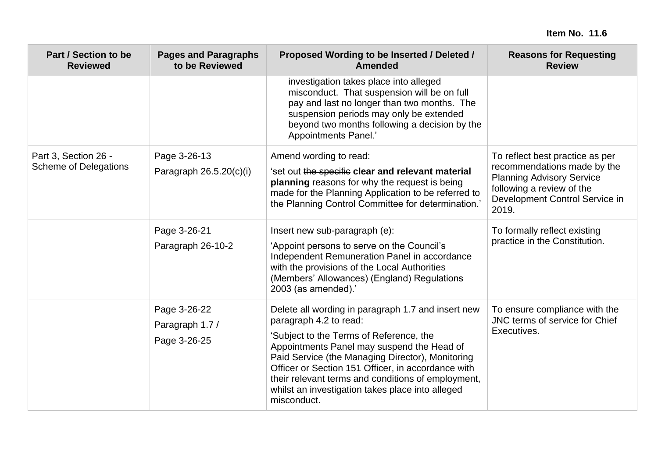| <b>Part / Section to be</b><br><b>Reviewed</b>       | <b>Pages and Paragraphs</b><br>to be Reviewed   | Proposed Wording to be Inserted / Deleted /<br><b>Amended</b>                                                                                                                                                                                                                                                                                                                                            | <b>Reasons for Requesting</b><br><b>Review</b>                                                                                                                             |
|------------------------------------------------------|-------------------------------------------------|----------------------------------------------------------------------------------------------------------------------------------------------------------------------------------------------------------------------------------------------------------------------------------------------------------------------------------------------------------------------------------------------------------|----------------------------------------------------------------------------------------------------------------------------------------------------------------------------|
|                                                      |                                                 | investigation takes place into alleged<br>misconduct. That suspension will be on full<br>pay and last no longer than two months. The<br>suspension periods may only be extended<br>beyond two months following a decision by the<br><b>Appointments Panel.'</b>                                                                                                                                          |                                                                                                                                                                            |
| Part 3, Section 26 -<br><b>Scheme of Delegations</b> | Page 3-26-13<br>Paragraph 26.5.20(c)(i)         | Amend wording to read:<br>'set out the specific clear and relevant material<br>planning reasons for why the request is being<br>made for the Planning Application to be referred to<br>the Planning Control Committee for determination.                                                                                                                                                                 | To reflect best practice as per<br>recommendations made by the<br><b>Planning Advisory Service</b><br>following a review of the<br>Development Control Service in<br>2019. |
|                                                      | Page 3-26-21<br>Paragraph 26-10-2               | Insert new sub-paragraph (e):<br>'Appoint persons to serve on the Council's<br>Independent Remuneration Panel in accordance<br>with the provisions of the Local Authorities<br>(Members' Allowances) (England) Regulations<br>2003 (as amended).'                                                                                                                                                        | To formally reflect existing<br>practice in the Constitution.                                                                                                              |
|                                                      | Page 3-26-22<br>Paragraph 1.7 /<br>Page 3-26-25 | Delete all wording in paragraph 1.7 and insert new<br>paragraph 4.2 to read:<br>'Subject to the Terms of Reference, the<br>Appointments Panel may suspend the Head of<br>Paid Service (the Managing Director), Monitoring<br>Officer or Section 151 Officer, in accordance with<br>their relevant terms and conditions of employment,<br>whilst an investigation takes place into alleged<br>misconduct. | To ensure compliance with the<br>JNC terms of service for Chief<br>Executives.                                                                                             |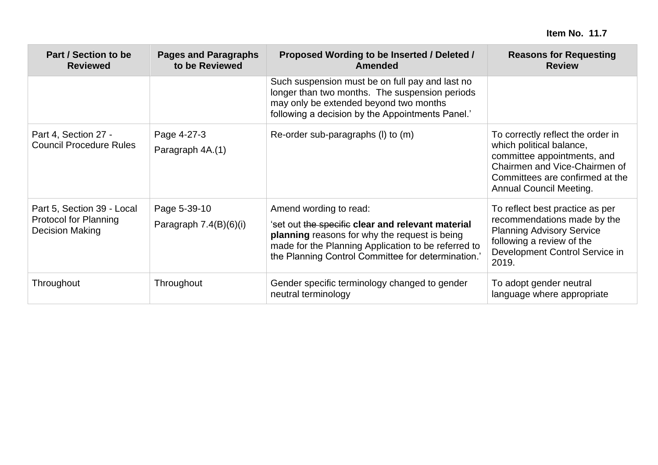| Part / Section to be<br><b>Reviewed</b>                                | <b>Pages and Paragraphs</b><br>to be Reviewed | Proposed Wording to be Inserted / Deleted /<br><b>Amended</b>                                                                                                                                                                             | <b>Reasons for Requesting</b><br><b>Review</b>                                                                                                                                              |
|------------------------------------------------------------------------|-----------------------------------------------|-------------------------------------------------------------------------------------------------------------------------------------------------------------------------------------------------------------------------------------------|---------------------------------------------------------------------------------------------------------------------------------------------------------------------------------------------|
|                                                                        |                                               | Such suspension must be on full pay and last no<br>longer than two months. The suspension periods<br>may only be extended beyond two months<br>following a decision by the Appointments Panel.'                                           |                                                                                                                                                                                             |
| Part 4, Section 27 -<br><b>Council Procedure Rules</b>                 | Page 4-27-3<br>Paragraph 4A.(1)               | Re-order sub-paragraphs (I) to (m)                                                                                                                                                                                                        | To correctly reflect the order in<br>which political balance,<br>committee appointments, and<br>Chairmen and Vice-Chairmen of<br>Committees are confirmed at the<br>Annual Council Meeting. |
| Part 5, Section 39 - Local<br>Protocol for Planning<br>Decision Making | Page 5-39-10<br>Paragraph $7.4(B)(6)(i)$      | Amend wording to read:<br>'set out the specific clear and relevant material<br>planning reasons for why the request is being<br>made for the Planning Application to be referred to<br>the Planning Control Committee for determination.' | To reflect best practice as per<br>recommendations made by the<br><b>Planning Advisory Service</b><br>following a review of the<br>Development Control Service in<br>2019.                  |
| Throughout                                                             | Throughout                                    | Gender specific terminology changed to gender<br>neutral terminology                                                                                                                                                                      | To adopt gender neutral<br>language where appropriate                                                                                                                                       |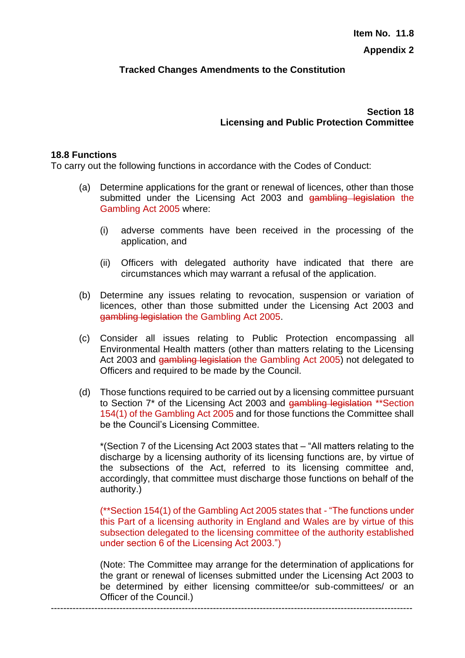## **Tracked Changes Amendments to the Constitution**

**Section 18 Licensing and Public Protection Committee**

#### **18.8 Functions**

To carry out the following functions in accordance with the Codes of Conduct:

- (a) Determine applications for the grant or renewal of licences, other than those submitted under the Licensing Act 2003 and gambling legislation the Gambling Act 2005 where:
	- (i) adverse comments have been received in the processing of the application, and
	- (ii) Officers with delegated authority have indicated that there are circumstances which may warrant a refusal of the application.
- (b) Determine any issues relating to revocation, suspension or variation of licences, other than those submitted under the Licensing Act 2003 and gambling legislation the Gambling Act 2005.
- (c) Consider all issues relating to Public Protection encompassing all Environmental Health matters (other than matters relating to the Licensing Act 2003 and gambling legislation the Gambling Act 2005) not delegated to Officers and required to be made by the Council.
- (d) Those functions required to be carried out by a licensing committee pursuant to Section 7\* of the Licensing Act 2003 and gambling legislation \*\*Section 154(1) of the Gambling Act 2005 and for those functions the Committee shall be the Council's Licensing Committee.

\*(Section 7 of the Licensing Act 2003 states that – "All matters relating to the discharge by a licensing authority of its licensing functions are, by virtue of the subsections of the Act, referred to its licensing committee and, accordingly, that committee must discharge those functions on behalf of the authority.)

(\*\*Section 154(1) of the Gambling Act 2005 states that - "The functions under this Part of a licensing authority in England and Wales are by virtue of this subsection delegated to the licensing committee of the authority established under section 6 of the Licensing Act 2003.")

(Note: The Committee may arrange for the determination of applications for the grant or renewal of licenses submitted under the Licensing Act 2003 to be determined by either licensing committee/or sub-committees/ or an Officer of the Council.)

--------------------------------------------------------------------------------------------------------------------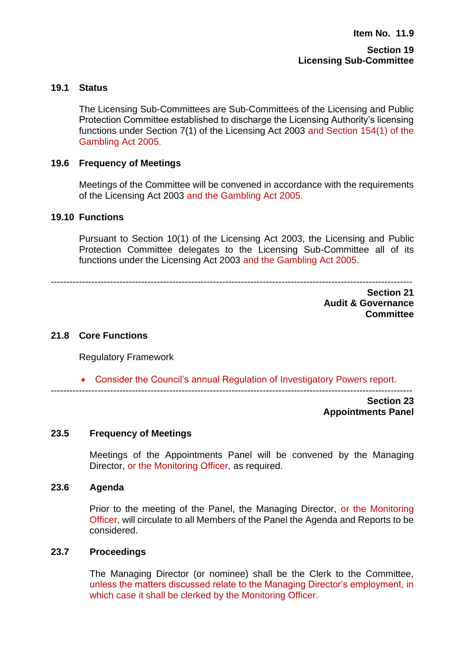#### **Section 19 Licensing Sub-Committee**

## **19.1 Status**

The Licensing Sub-Committees are Sub-Committees of the Licensing and Public Protection Committee established to discharge the Licensing Authority's licensing functions under Section 7(1) of the Licensing Act 2003 and Section 154(1) of the Gambling Act 2005.

## **19.6 Frequency of Meetings**

Meetings of the Committee will be convened in accordance with the requirements of the Licensing Act 2003 and the Gambling Act 2005.

#### **19.10 Functions**

Pursuant to Section 10(1) of the Licensing Act 2003, the Licensing and Public Protection Committee delegates to the Licensing Sub-Committee all of its functions under the Licensing Act 2003 and the Gambling Act 2005.

--------------------------------------------------------------------------------------------------------------------

**Section 21 Audit & Governance Committee**

#### **21.8 Core Functions**

Regulatory Framework

• Consider the Council's annual Regulation of Investigatory Powers report.

--------------------------------------------------------------------------------------------------------------------

**Section 23 Appointments Panel**

#### **23.5 Frequency of Meetings**

Meetings of the Appointments Panel will be convened by the Managing Director, or the Monitoring Officer, as required.

#### **23.6 Agenda**

Prior to the meeting of the Panel, the Managing Director, or the Monitoring Officer, will circulate to all Members of the Panel the Agenda and Reports to be considered.

#### **23.7 Proceedings**

The Managing Director (or nominee) shall be the Clerk to the Committee, unless the matters discussed relate to the Managing Director's employment, in which case it shall be clerked by the Monitoring Officer.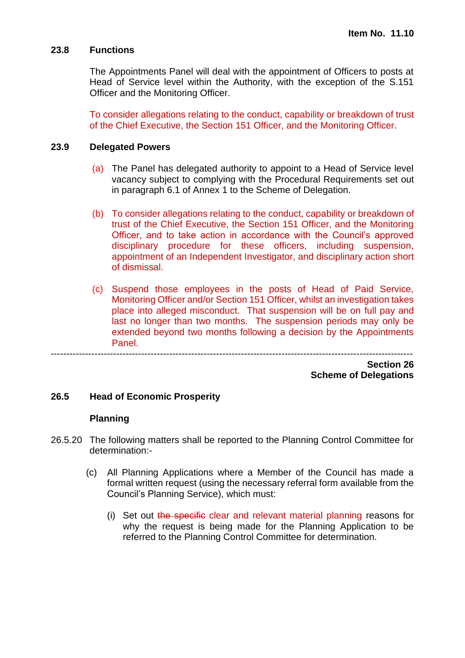#### **23.8 Functions**

The Appointments Panel will deal with the appointment of Officers to posts at Head of Service level within the Authority, with the exception of the S.151 Officer and the Monitoring Officer.

To consider allegations relating to the conduct, capability or breakdown of trust of the Chief Executive, the Section 151 Officer, and the Monitoring Officer.

#### **23.9 Delegated Powers**

- (a) The Panel has delegated authority to appoint to a Head of Service level vacancy subject to complying with the Procedural Requirements set out in paragraph 6.1 of Annex 1 to the Scheme of Delegation.
- (b) To consider allegations relating to the conduct, capability or breakdown of trust of the Chief Executive, the Section 151 Officer, and the Monitoring Officer, and to take action in accordance with the Council's approved disciplinary procedure for these officers, including suspension, appointment of an Independent Investigator, and disciplinary action short of dismissal.
- (c) Suspend those employees in the posts of Head of Paid Service, Monitoring Officer and/or Section 151 Officer, whilst an investigation takes place into alleged misconduct. That suspension will be on full pay and last no longer than two months. The suspension periods may only be extended beyond two months following a decision by the Appointments Panel.

--------------------------------------------------------------------------------------------------------------------

**Section 26 Scheme of Delegations**

#### **26.5 Head of Economic Prosperity**

#### **Planning**

- 26.5.20 The following matters shall be reported to the Planning Control Committee for determination:-
	- (c) All Planning Applications where a Member of the Council has made a formal written request (using the necessary referral form available from the Council's Planning Service), which must:
		- (i) Set out the specific clear and relevant material planning reasons for why the request is being made for the Planning Application to be referred to the Planning Control Committee for determination.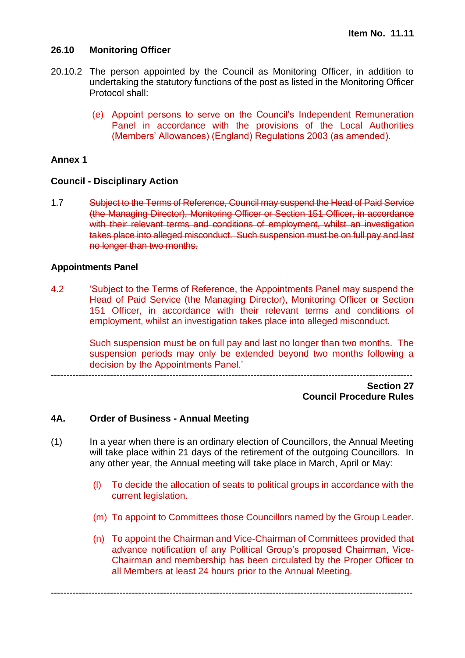## **26.10 Monitoring Officer**

- 20.10.2 The person appointed by the Council as Monitoring Officer, in addition to undertaking the statutory functions of the post as listed in the Monitoring Officer Protocol shall:
	- (e) Appoint persons to serve on the Council's Independent Remuneration Panel in accordance with the provisions of the Local Authorities (Members' Allowances) (England) Regulations 2003 (as amended).

## **Annex 1**

## **Council - Disciplinary Action**

1.7 Subject to the Terms of Reference, Council may suspend the Head of Paid Service (the Managing Director), Monitoring Officer or Section 151 Officer, in accordance with their relevant terms and conditions of employment, whilst an investigation takes place into alleged misconduct. Such suspension must be on full pay and last no longer than two months.

## **Appointments Panel**

4.2 'Subject to the Terms of Reference, the Appointments Panel may suspend the Head of Paid Service (the Managing Director), Monitoring Officer or Section 151 Officer, in accordance with their relevant terms and conditions of employment, whilst an investigation takes place into alleged misconduct.

> Such suspension must be on full pay and last no longer than two months. The suspension periods may only be extended beyond two months following a decision by the Appointments Panel.'

--------------------------------------------------------------------------------------------------------------------

## **Section 27 Council Procedure Rules**

## **4A. Order of Business - Annual Meeting**

(1) In a year when there is an ordinary election of Councillors, the Annual Meeting will take place within 21 days of the retirement of the outgoing Councillors. In any other year, the Annual meeting will take place in March, April or May:

--------------------------------------------------------------------------------------------------------------------

- (l) To decide the allocation of seats to political groups in accordance with the current legislation.
- (m) To appoint to Committees those Councillors named by the Group Leader.
- (n) To appoint the Chairman and Vice-Chairman of Committees provided that advance notification of any Political Group's proposed Chairman, Vice-Chairman and membership has been circulated by the Proper Officer to all Members at least 24 hours prior to the Annual Meeting.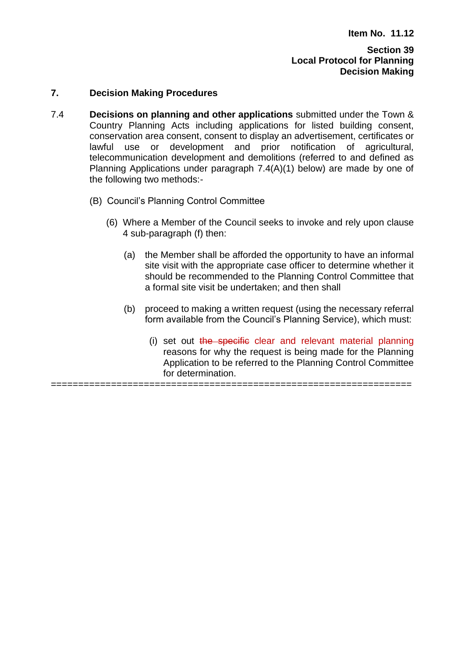#### **Section 39 Local Protocol for Planning Decision Making**

#### **7. Decision Making Procedures**

- 7.4 **Decisions on planning and other applications** submitted under the Town & Country Planning Acts including applications for listed building consent, conservation area consent, consent to display an advertisement, certificates or lawful use or development and prior notification of agricultural, telecommunication development and demolitions (referred to and defined as Planning Applications under paragraph 7.4(A)(1) below) are made by one of the following two methods:-
	- (B) Council's Planning Control Committee
		- (6) Where a Member of the Council seeks to invoke and rely upon clause 4 sub-paragraph (f) then:
			- (a) the Member shall be afforded the opportunity to have an informal site visit with the appropriate case officer to determine whether it should be recommended to the Planning Control Committee that a formal site visit be undertaken; and then shall
			- (b) proceed to making a written request (using the necessary referral form available from the Council's Planning Service), which must:
				- (i) set out the specific clear and relevant material planning reasons for why the request is being made for the Planning Application to be referred to the Planning Control Committee for determination.

==================================================================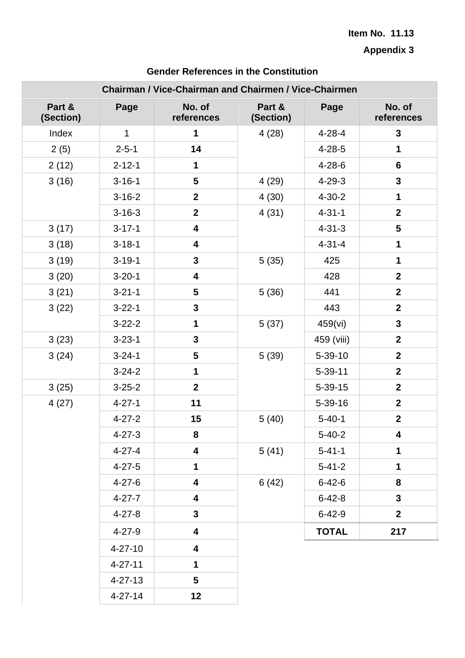**Appendix 3**

| Chairman / Vice-Chairman and Chairmen / Vice-Chairmen |                   |                         |                     |               |                      |
|-------------------------------------------------------|-------------------|-------------------------|---------------------|---------------|----------------------|
| Part &<br>(Section)                                   | Page              | No. of<br>references    | Part &<br>(Section) | Page          | No. of<br>references |
| Index                                                 | $\mathbf{1}$      | $\mathbf{1}$            | 4(28)               | $4 - 28 - 4$  | $\mathbf{3}$         |
| 2(5)                                                  | $2 - 5 - 1$       | 14                      |                     | $4 - 28 - 5$  | $\mathbf 1$          |
| 2(12)                                                 | $2 - 12 - 1$      | 1                       |                     | $4 - 28 - 6$  | 6                    |
| 3(16)                                                 | $3 - 16 - 1$      | 5                       | 4(29)               | $4 - 29 - 3$  | $\mathbf{3}$         |
|                                                       | $3 - 16 - 2$      | $\overline{2}$          | 4(30)               | $4 - 30 - 2$  | 1                    |
|                                                       | $3 - 16 - 3$      | $\overline{2}$          | 4(31)               | $4 - 31 - 1$  | $\mathbf{2}$         |
| 3(17)                                                 | $3 - 17 - 1$      | 4                       |                     | $4 - 31 - 3$  | 5                    |
| 3(18)                                                 | $3 - 18 - 1$      | 4                       |                     | $4 - 31 - 4$  | 1                    |
| 3(19)                                                 | $3 - 19 - 1$      | $\overline{\mathbf{3}}$ | 5(35)               | 425           | $\mathbf{1}$         |
| 3(20)                                                 | $3 - 20 - 1$      | 4                       |                     | 428           | $\overline{2}$       |
| 3(21)                                                 | $3 - 21 - 1$      | 5                       | 5(36)               | 441           | $\overline{2}$       |
| 3(22)                                                 | $3 - 22 - 1$      | $\mathbf{3}$            |                     | 443           | $\mathbf{2}$         |
|                                                       | $3 - 22 - 2$      | 1                       | 5(37)               | 459(vi)       | $\mathbf{3}$         |
| 3(23)                                                 | $3 - 23 - 1$      | 3                       |                     | 459 (viii)    | $\overline{2}$       |
| 3(24)                                                 | $3 - 24 - 1$      | 5                       | 5(39)               | $5 - 39 - 10$ | $\overline{2}$       |
|                                                       | $3 - 24 - 2$      | 1                       |                     | $5 - 39 - 11$ | $\overline{2}$       |
| 3(25)                                                 | $3 - 25 - 2$      | $\mathbf{2}$            |                     | $5 - 39 - 15$ | $\overline{2}$       |
| 4(27)                                                 | $4 - 27 - 1$      | 11                      |                     | $5 - 39 - 16$ | $\overline{2}$       |
|                                                       | $4 - 27 - 2$      | 15                      | 5(40)               | $5 - 40 - 1$  | $\mathbf{2}$         |
|                                                       | $4 - 27 - 3$      | 8                       |                     | $5 - 40 - 2$  | 4                    |
|                                                       | $4 - 27 - 4$      | 4                       | 5(41)               | $5 - 41 - 1$  | 1                    |
|                                                       | $4 - 27 - 5$      | 1                       |                     | $5 - 41 - 2$  | $\mathbf 1$          |
|                                                       | $4 - 27 - 6$      | 4                       | 6(42)               | $6 - 42 - 6$  | 8                    |
|                                                       | $4 - 27 - 7$<br>4 |                         | $6 - 42 - 8$        | $\mathbf{3}$  |                      |
|                                                       | $4 - 27 - 8$      | $\mathbf{3}$            |                     | $6 - 42 - 9$  | 2 <sup>1</sup>       |
|                                                       | $4 - 27 - 9$      | 4                       |                     | <b>TOTAL</b>  | 217                  |
|                                                       | $4 - 27 - 10$     | 4                       |                     |               |                      |
|                                                       | $4 - 27 - 11$     | 1                       |                     |               |                      |
|                                                       | $4 - 27 - 13$     | 5                       |                     |               |                      |
|                                                       | $4 - 27 - 14$     | 12                      |                     |               |                      |

# **Gender References in the Constitution**